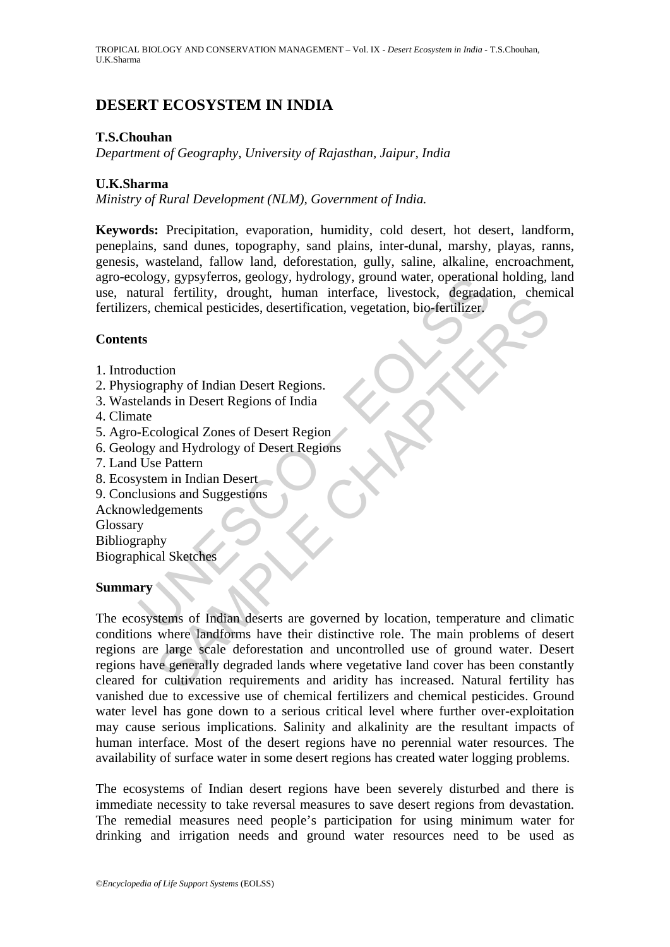# **DESERT ECOSYSTEM IN INDIA**

### **T.S.Chouhan**

*Department of Geography, University of Rajasthan, Jaipur, India* 

### **U.K.Sharma**

*Ministry of Rural Development (NLM), Government of India.* 

The University of Mathematical Sections, and Mathematical Ferrifity, drought, human interface, livestock, degradant are schemical pesticides, desertification, vegetation, bio-ferrifizer.<br>
ts<br>
duction<br>
ts<br>
duction<br>
in Deser **Keywords:** Precipitation, evaporation, humidity, cold desert, hot desert, landform, peneplains, sand dunes, topography, sand plains, inter-dunal, marshy, playas, ranns, genesis, wasteland, fallow land, deforestation, gully, saline, alkaline, encroachment, agro-ecology, gypsyferros, geology, hydrology, ground water, operational holding, land use, natural fertility, drought, human interface, livestock, degradation, chemical fertilizers, chemical pesticides, desertification, vegetation, bio-fertilizer.

#### **Contents**

- 1. Introduction
- 2. Physiography of Indian Desert Regions.
- 3. Wastelands in Desert Regions of India
- 4. Climate
- 5. Agro-Ecological Zones of Desert Region
- 6. Geology and Hydrology of Desert Regions
- 7. Land Use Pattern
- 8. Ecosystem in Indian Desert
- 9. Conclusions and Suggestions
- Acknowledgements

Glossary

Bibliography

Biographical Sketches

#### **Summary**

The content of the secondary and the experiments and environmental persistence of the chemical pesticides, describination, vegetation, bio-fertilizer.<br>
The chemical pesticides, described and the chapter of the chapter of t The ecosystems of Indian deserts are governed by location, temperature and climatic conditions where landforms have their distinctive role. The main problems of desert regions are large scale deforestation and uncontrolled use of ground water. Desert regions have generally degraded lands where vegetative land cover has been constantly cleared for cultivation requirements and aridity has increased. Natural fertility has vanished due to excessive use of chemical fertilizers and chemical pesticides. Ground water level has gone down to a serious critical level where further over-exploitation may cause serious implications. Salinity and alkalinity are the resultant impacts of human interface. Most of the desert regions have no perennial water resources. The availability of surface water in some desert regions has created water logging problems.

The ecosystems of Indian desert regions have been severely disturbed and there is immediate necessity to take reversal measures to save desert regions from devastation. The remedial measures need people's participation for using minimum water for drinking and irrigation needs and ground water resources need to be used as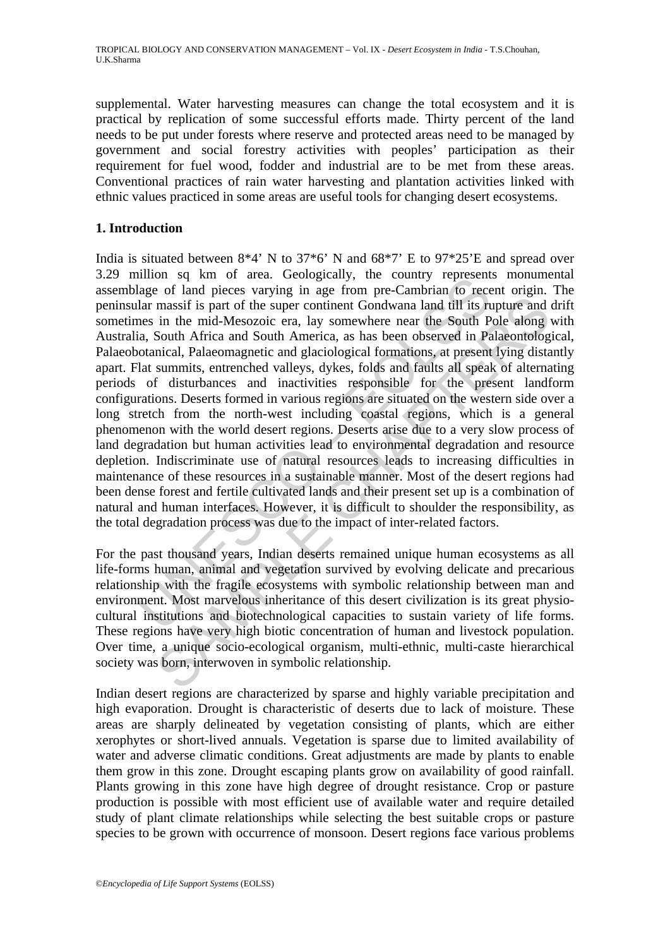supplemental. Water harvesting measures can change the total ecosystem and it is practical by replication of some successful efforts made. Thirty percent of the land needs to be put under forests where reserve and protected areas need to be managed by government and social forestry activities with peoples' participation as their requirement for fuel wood, fodder and industrial are to be met from these areas. Conventional practices of rain water harvesting and plantation activities linked with ethnic values practiced in some areas are useful tools for changing desert ecosystems.

### **1. Introduction**

minon set and rot acc. Geologicanity, the Country eigestent.<br>Inage of land pieces varying in age from pre-Cambrian to receed<br>lar massif is part of the super continent Gondwana land till its rues<br>in the mid-Mesozoic era, la massif is part of the super continent Gondwana land till its rupture and<br>in the mid-Mesozoic era, lay somewhere near the South Pole along<br>South Africa and South America, as has been observed in Palaeomtolog<br>sical, Palaeoma India is situated between  $8*4'$  N to  $37*6'$  N and  $68*7'$  E to  $97*25'E$  and spread over 3.29 million sq km of area. Geologically, the country represents monumental assemblage of land pieces varying in age from pre-Cambrian to recent origin. The peninsular massif is part of the super continent Gondwana land till its rupture and drift sometimes in the mid-Mesozoic era, lay somewhere near the South Pole along with Australia, South Africa and South America, as has been observed in Palaeontological, Palaeobotanical, Palaeomagnetic and glaciological formations, at present lying distantly apart. Flat summits, entrenched valleys, dykes, folds and faults all speak of alternating periods of disturbances and inactivities responsible for the present landform configurations. Deserts formed in various regions are situated on the western side over a long stretch from the north-west including coastal regions, which is a general phenomenon with the world desert regions. Deserts arise due to a very slow process of land degradation but human activities lead to environmental degradation and resource depletion. Indiscriminate use of natural resources leads to increasing difficulties in maintenance of these resources in a sustainable manner. Most of the desert regions had been dense forest and fertile cultivated lands and their present set up is a combination of natural and human interfaces. However, it is difficult to shoulder the responsibility, as the total degradation process was due to the impact of inter-related factors.

For the past thousand years, Indian deserts remained unique human ecosystems as all life-forms human, animal and vegetation survived by evolving delicate and precarious relationship with the fragile ecosystems with symbolic relationship between man and environment. Most marvelous inheritance of this desert civilization is its great physiocultural institutions and biotechnological capacities to sustain variety of life forms. These regions have very high biotic concentration of human and livestock population. Over time, a unique socio-ecological organism, multi-ethnic, multi-caste hierarchical society was born, interwoven in symbolic relationship.

Indian desert regions are characterized by sparse and highly variable precipitation and high evaporation. Drought is characteristic of deserts due to lack of moisture. These areas are sharply delineated by vegetation consisting of plants, which are either xerophytes or short-lived annuals. Vegetation is sparse due to limited availability of water and adverse climatic conditions. Great adjustments are made by plants to enable them grow in this zone. Drought escaping plants grow on availability of good rainfall. Plants growing in this zone have high degree of drought resistance. Crop or pasture production is possible with most efficient use of available water and require detailed study of plant climate relationships while selecting the best suitable crops or pasture species to be grown with occurrence of monsoon. Desert regions face various problems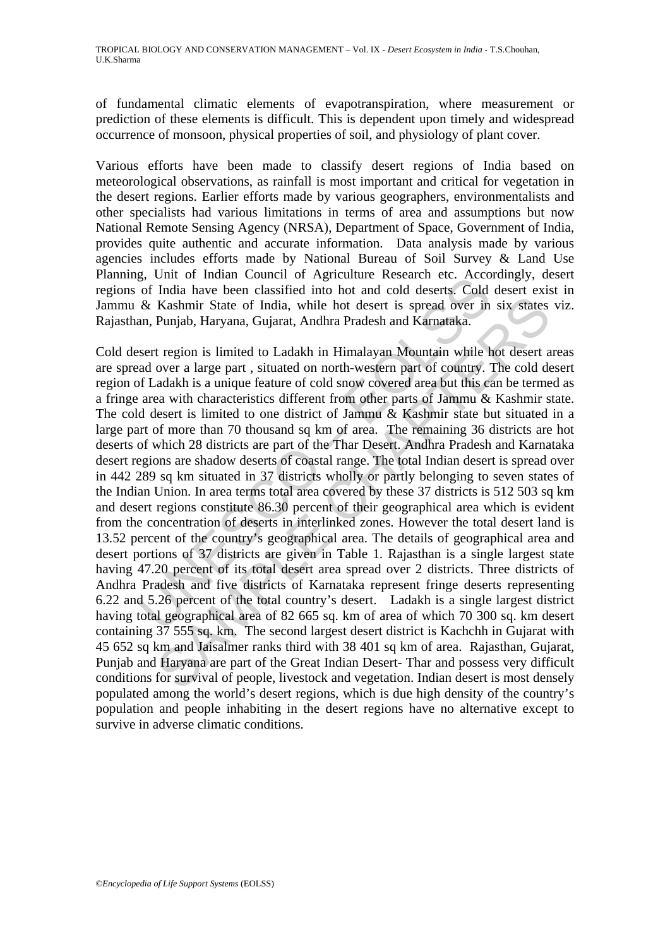of fundamental climatic elements of evapotranspiration, where measurement or prediction of these elements is difficult. This is dependent upon timely and widespread occurrence of monsoon, physical properties of soil, and physiology of plant cover.

Various efforts have been made to classify desert regions of India based on meteorological observations, as rainfall is most important and critical for vegetation in the desert regions. Earlier efforts made by various geographers, environmentalists and other specialists had various limitations in terms of area and assumptions but now National Remote Sensing Agency (NRSA), Department of Space, Government of India, provides quite authentic and accurate information. Data analysis made by various agencies includes efforts made by National Bureau of Soil Survey & Land Use Planning, Unit of Indian Council of Agriculture Research etc. Accordingly, desert regions of India have been classified into hot and cold deserts. Cold desert exist in Jammu & Kashmir State of India, while hot desert is spread over in six states viz. Rajasthan, Punjab, Haryana, Gujarat, Andhra Pradesh and Karnataka.

g. Out of mialar Countri of Agriculture Kessaria etc. Accords of India have been classified into hot duest is spread over in an, Punjab, Haryana, Gujarat, Andhra Pradesh and Karnataka.<br>Sert region is limited to Ladakh in H Kashmir State of India, while hot desert is spread over in six states<br>
Punjab, Haryana, Gujarat, Andhra Pradesh and Karnataka.<br>
tregion is limited to Ladakh in Himalayan Mountain while hot desert a<br>
over a large part, sit Cold desert region is limited to Ladakh in Himalayan Mountain while hot desert areas are spread over a large part , situated on north-western part of country. The cold desert region of Ladakh is a unique feature of cold snow covered area but this can be termed as a fringe area with characteristics different from other parts of Jammu & Kashmir state. The cold desert is limited to one district of Jammu & Kashmir state but situated in a large part of more than 70 thousand sq km of area. The remaining 36 districts are hot deserts of which 28 districts are part of the Thar Desert. Andhra Pradesh and Karnataka desert regions are shadow deserts of coastal range. The total Indian desert is spread over in 442 289 sq km situated in 37 districts wholly or partly belonging to seven states of the Indian Union. In area terms total area covered by these 37 districts is 512 503 sq km and desert regions constitute 86.30 percent of their geographical area which is evident from the concentration of deserts in interlinked zones. However the total desert land is 13.52 percent of the country's geographical area. The details of geographical area and desert portions of 37 districts are given in Table 1. Rajasthan is a single largest state having 47.20 percent of its total desert area spread over 2 districts. Three districts of Andhra Pradesh and five districts of Karnataka represent fringe deserts representing 6.22 and 5.26 percent of the total country's desert. Ladakh is a single largest district having total geographical area of 82 665 sq. km of area of which 70 300 sq. km desert containing 37 555 sq. km. The second largest desert district is Kachchh in Gujarat with 45 652 sq km and Jaisalmer ranks third with 38 401 sq km of area. Rajasthan, Gujarat, Punjab and Haryana are part of the Great Indian Desert- Thar and possess very difficult conditions for survival of people, livestock and vegetation. Indian desert is most densely populated among the world's desert regions, which is due high density of the country's population and people inhabiting in the desert regions have no alternative except to survive in adverse climatic conditions.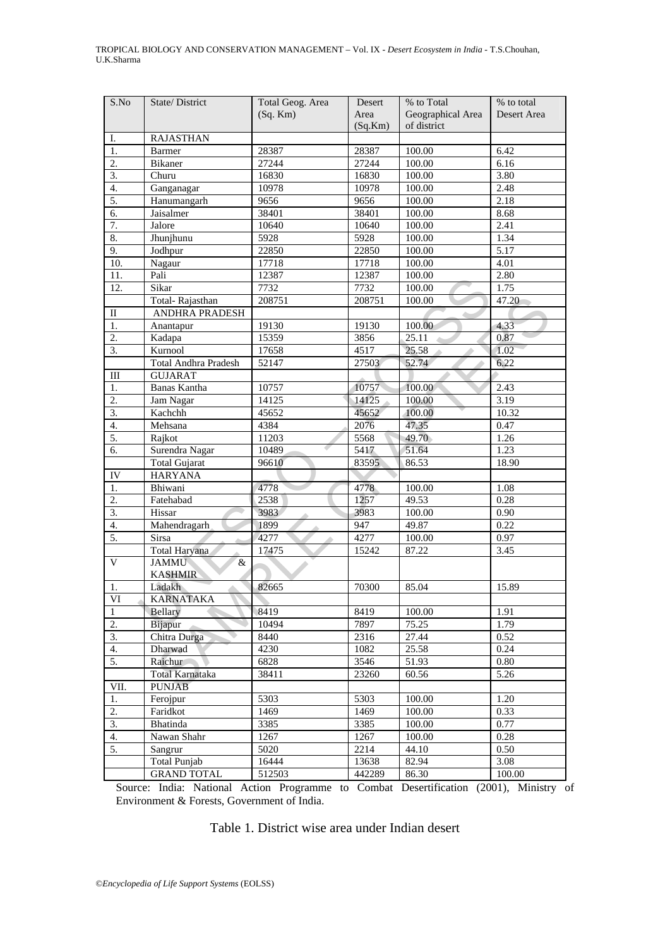| S.No                   | State/District                      | Total Geog. Area | Desert  | % to Total        | % to total  |
|------------------------|-------------------------------------|------------------|---------|-------------------|-------------|
|                        |                                     | $(Sq.$ Km $)$    | Area    | Geographical Area | Desert Area |
|                        |                                     |                  | (Sq.Km) | of district       |             |
| Ι.                     | <b>RAJASTHAN</b>                    |                  |         |                   |             |
| 1.                     | Barmer                              | 28387            | 28387   | 100.00            | 6.42        |
| $\overline{2}$ .       | <b>Bikaner</b>                      | 27244            | 27244   | 100.00            | 6.16        |
| 3.                     | Churu                               | 16830            | 16830   | 100.00            | 3.80        |
| 4.                     | Ganganagar                          | 10978            | 10978   | 100.00            | 2.48        |
| 5.                     | Hanumangarh                         | 9656             | 9656    | 100.00            | 2.18        |
| 6.                     | Jaisalmer                           | 38401            | 38401   | 100.00            | 8.68        |
| 7.                     | Jalore                              | 10640            | 10640   | 100.00            | 2.41        |
| 8.                     | Jhunjhunu                           | 5928             | 5928    | 100.00            | 1.34        |
| 9.                     | Jodhpur                             | 22850            | 22850   | 100.00            | 5.17        |
| 10.                    | Nagaur                              | 17718            | 17718   | 100.00            | 4.01        |
| 11.                    | Pali                                | 12387            | 12387   | 100.00            | 2.80        |
| 12.                    | Sikar                               | 7732             | 7732    | 100.00            | 1.75        |
|                        | Total-Rajasthan                     | 208751           | 208751  | 100.00            | 47.20       |
| $\mathbf{I}$           | ANDHRA PRADESH                      |                  |         |                   |             |
| 1.                     | Anantapur                           | 19130            | 19130   | 100.00            | 4.33        |
| 2.                     | Kadapa                              | 15359            | 3856    | 25.11             | 0.87        |
| $\overline{3}$ .       | Kurnool                             | 17658            | 4517    | 25.58             | 1.02        |
|                        | Total Andhra Pradesh                | 52147            | 27503   | 52.74             | 6.22        |
| Ш                      | <b>GUJARAT</b>                      |                  |         |                   |             |
| 1.                     | Banas Kantha                        | 10757            | 10757   | 100.00            | 2.43        |
| 2.                     | Jam Nagar                           | 14125            | 14125   | 100.00            | 3.19        |
| $\overline{3}$ .       | Kachchh                             | 45652            | 45652   | 100.00            | 10.32       |
| 4.                     | Mehsana                             | 4384             | 2076    | 47.35             | 0.47        |
| 5.                     | Rajkot                              | 11203            | 5568    | 49.70             | 1.26        |
| 6.                     | Surendra Nagar                      | 10489            | 5417    | 51.64             | 1.23        |
|                        | <b>Total Gujarat</b>                | 96610            | 83595   | 86.53             | 18.90       |
| IV                     | <b>HARYANA</b>                      |                  |         |                   |             |
| 1.                     | Bhiwani                             | 4778             | 4778    | 100.00            | 1.08        |
| 2.                     | Fatehabad                           | 2538             | 1257    | 49.53             | 0.28        |
| $\overline{3}$ .       | Hissar                              | 3983             | 3983    | 100.00            | 0.90        |
| 4.                     | Mahendragarh                        | 1899             | 947     | 49.87             | 0.22        |
| 5.                     | Sirsa                               | 4277             | 4277    | 100.00            | 0.97        |
|                        | Total Haryana                       | 17475            | 15242   | 87.22             | 3.45        |
| $\mathbf V$            | <b>JAMMU</b><br>&<br><b>KASHMIR</b> |                  |         |                   |             |
| 1.                     | Ladakh                              | 82665            | 70300   | 85.04             | 15.89       |
| $\overline{\text{VI}}$ | <b>KARNATAKA</b>                    |                  |         |                   |             |
| 1                      | Bellary                             | 8419             | 8419    | 100.00            | 1.91        |
| 2.                     | Bijapur                             | 10494            | 7897    | 75.25             | 1.79        |
| 3.                     | Chitra Durga                        | 8440             | 2316    | 27.44             | 0.52        |
| 4.                     | Dharwad                             | 4230             | 1082    | 25.58             | 0.24        |
| 5.                     | Raichur                             | 6828             | 3546    | 51.93             | $0.80\,$    |
|                        | <b>Total Karnataka</b>              | 38411            | 23260   | 60.56             | 5.26        |
| VII.                   | <b>PUNJAB</b>                       |                  |         |                   |             |
| 1.                     | Ferojpur                            | 5303             | 5303    | 100.00            | 1.20        |
| 2.                     | Faridkot                            | 1469             | 1469    | 100.00            | 0.33        |
| 3.                     | Bhatinda                            | 3385             | 3385    | 100.00            | 0.77        |
| 4.                     | Nawan Shahr                         | 1267             | 1267    | 100.00            | 0.28        |
| 5.                     | Sangrur                             | 5020             | 2214    | 44.10             | 0.50        |
|                        | <b>Total Punjab</b>                 | 16444            | 13638   | 82.94             | 3.08        |
|                        | <b>GRAND TOTAL</b>                  | 512503           | 442289  | 86.30             | 100.00      |

Source: India: National Action Programme to Combat Desertification (2001), Ministry of Environment & Forests, Government of India.

Table 1. District wise area under Indian desert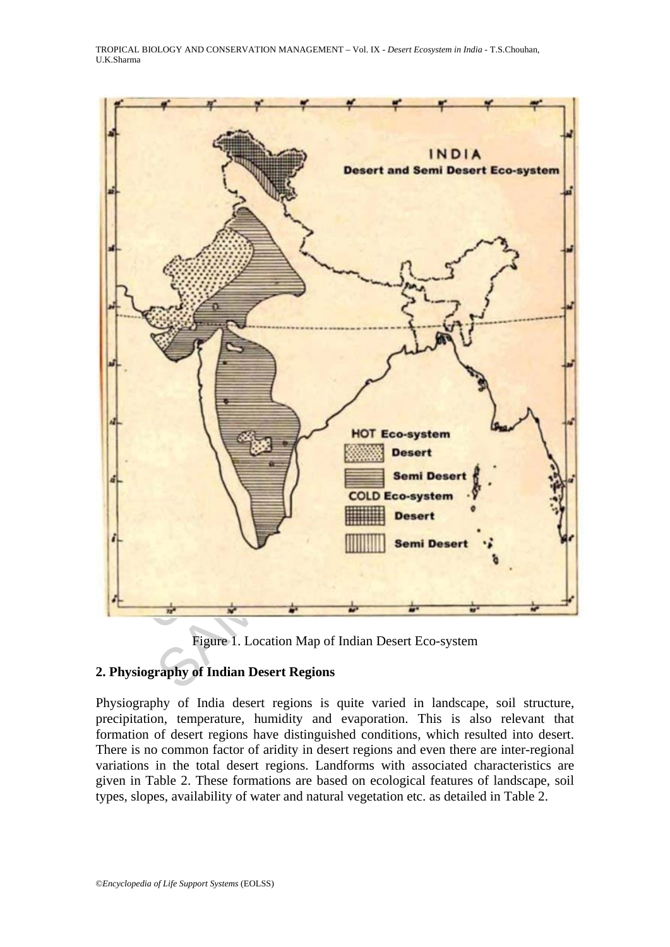TROPICAL BIOLOGY AND CONSERVATION MANAGEMENT – Vol. IX - *Desert Ecosystem in India* - T.S.Chouhan, U.K.Sharma



Figure 1. Location Map of Indian Desert Eco-system

# **2. Physiography of Indian Desert Regions**

Physiography of India desert regions is quite varied in landscape, soil structure, precipitation, temperature, humidity and evaporation. This is also relevant that formation of desert regions have distinguished conditions, which resulted into desert. There is no common factor of aridity in desert regions and even there are inter-regional variations in the total desert regions. Landforms with associated characteristics are given in Table 2. These formations are based on ecological features of landscape, soil types, slopes, availability of water and natural vegetation etc. as detailed in Table 2.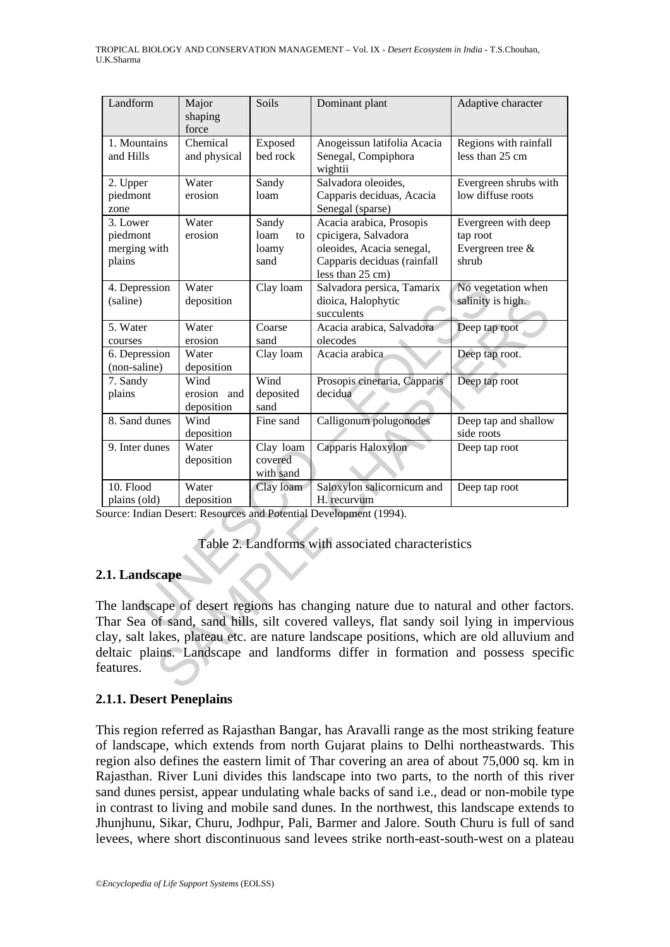| Landform                                                                                | Major              | Soils                  | Dominant plant                                                                       | Adaptive character    |  |  |  |  |
|-----------------------------------------------------------------------------------------|--------------------|------------------------|--------------------------------------------------------------------------------------|-----------------------|--|--|--|--|
|                                                                                         | shaping<br>force   |                        |                                                                                      |                       |  |  |  |  |
| 1. Mountains                                                                            | Chemical           | Exposed                | Anogeissun latifolia Acacia                                                          | Regions with rainfall |  |  |  |  |
| and Hills                                                                               | and physical       | bed rock               | Senegal, Compiphora<br>wightii                                                       | less than 25 cm       |  |  |  |  |
| 2. Upper                                                                                | Water              | Sandy                  | Salvadora oleoides,                                                                  | Evergreen shrubs with |  |  |  |  |
| piedmont<br>zone                                                                        | erosion            | loam                   | Capparis deciduas, Acacia<br>Senegal (sparse)                                        | low diffuse roots     |  |  |  |  |
| 3. Lower                                                                                | Water              | Sandy                  | Acacia arabica, Prosopis                                                             | Evergreen with deep   |  |  |  |  |
| piedmont                                                                                | erosion            | loam<br>to             | cpicigera, Salvadora                                                                 | tap root              |  |  |  |  |
| merging with                                                                            |                    | loamy                  | oleoides, Acacia senegal,                                                            | Evergreen tree &      |  |  |  |  |
| plains                                                                                  |                    | sand                   | Capparis deciduas (rainfall<br>less than 25 cm)                                      | shrub                 |  |  |  |  |
| 4. Depression                                                                           | Water              | Clay loam              | Salvadora persica, Tamarix                                                           | No vegetation when    |  |  |  |  |
| (saline)                                                                                | deposition         |                        | dioica, Halophytic                                                                   | salinity is high.     |  |  |  |  |
|                                                                                         |                    |                        | succulents                                                                           |                       |  |  |  |  |
| 5. Water<br>courses                                                                     | Water<br>erosion   | Coarse<br>sand         | Acacia arabica, Salvadora<br>olecodes                                                | Deep tap root         |  |  |  |  |
| 6. Depression                                                                           | Water              | Clay loam              | Acacia arabica                                                                       | Deep tap root.        |  |  |  |  |
| (non-saline)                                                                            | deposition         |                        |                                                                                      |                       |  |  |  |  |
| 7. Sandy                                                                                | Wind               | Wind                   | Prosopis cineraria, Capparis                                                         | Deep tap root         |  |  |  |  |
| plains                                                                                  | erosion and        | deposited<br>sand      | decidua                                                                              |                       |  |  |  |  |
| 8. Sand dunes                                                                           | deposition<br>Wind | Fine sand              | Calligonum polugonodes                                                               | Deep tap and shallow  |  |  |  |  |
|                                                                                         | deposition         |                        |                                                                                      | side roots            |  |  |  |  |
| 9. Inter dunes                                                                          | Water              | Clay loam              | Capparis Haloxylon                                                                   | Deep tap root         |  |  |  |  |
|                                                                                         | deposition         | covered                |                                                                                      |                       |  |  |  |  |
| 10. Flood                                                                               | Water              | with sand<br>Clay loam | Saloxylon salicornicum and                                                           | Deep tap root         |  |  |  |  |
| plains (old)                                                                            | deposition         |                        | H. recurvum                                                                          |                       |  |  |  |  |
|                                                                                         |                    |                        | ource: Indian Desert: Resources and Potential Development (1994).                    |                       |  |  |  |  |
|                                                                                         |                    |                        |                                                                                      |                       |  |  |  |  |
| Table 2. Landforms with associated characteristics                                      |                    |                        |                                                                                      |                       |  |  |  |  |
| .1. Landscape                                                                           |                    |                        |                                                                                      |                       |  |  |  |  |
|                                                                                         |                    |                        |                                                                                      |                       |  |  |  |  |
|                                                                                         |                    |                        | The landscape of desert regions has changing nature due to natural and other factors |                       |  |  |  |  |
| Thar Sea of sand, sand hills, silt covered valleys, flat sandy soil lying in imperviou  |                    |                        |                                                                                      |                       |  |  |  |  |
| lay, salt lakes, plateau etc. are nature landscape positions, which are old alluvium an |                    |                        |                                                                                      |                       |  |  |  |  |
| leltaic plains. Landscape and landforms differ in formation and possess specifi         |                    |                        |                                                                                      |                       |  |  |  |  |
| eatures.                                                                                |                    |                        |                                                                                      |                       |  |  |  |  |
|                                                                                         |                    |                        |                                                                                      |                       |  |  |  |  |

#### Table 2. Landforms with associated characteristics

#### **2.1. Landscape**

#### **2.1.1. Desert Peneplains**

This region referred as Rajasthan Bangar, has Aravalli range as the most striking feature of landscape, which extends from north Gujarat plains to Delhi northeastwards. This region also defines the eastern limit of Thar covering an area of about 75,000 sq. km in Rajasthan. River Luni divides this landscape into two parts, to the north of this river sand dunes persist, appear undulating whale backs of sand i.e., dead or non-mobile type in contrast to living and mobile sand dunes. In the northwest, this landscape extends to Jhunjhunu, Sikar, Churu, Jodhpur, Pali, Barmer and Jalore. South Churu is full of sand levees, where short discontinuous sand levees strike north-east-south-west on a plateau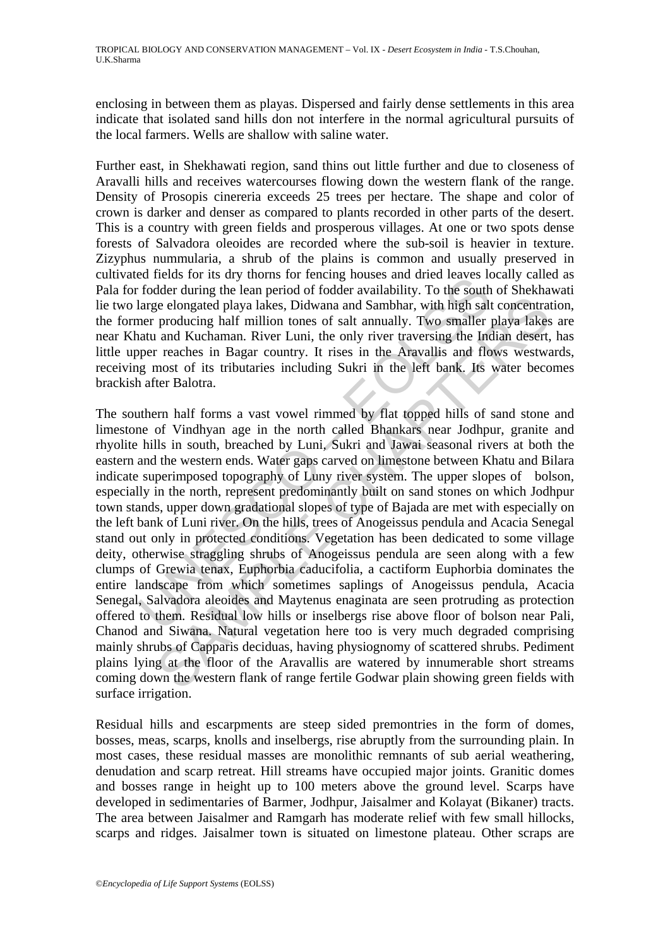enclosing in between them as playas. Dispersed and fairly dense settlements in this area indicate that isolated sand hills don not interfere in the normal agricultural pursuits of the local farmers. Wells are shallow with saline water.

Further east, in Shekhawati region, sand thins out little further and due to closeness of Aravalli hills and receives watercourses flowing down the western flank of the range. Density of Prosopis cinereria exceeds 25 trees per hectare. The shape and color of crown is darker and denser as compared to plants recorded in other parts of the desert. This is a country with green fields and prosperous villages. At one or two spots dense forests of Salvadora oleoides are recorded where the sub-soil is heavier in texture. Zizyphus nummularia, a shrub of the plains is common and usually preserved in cultivated fields for its dry thorns for fencing houses and dried leaves locally called as Pala for fodder during the lean period of fodder availability. To the south of Shekhawati lie two large elongated playa lakes, Didwana and Sambhar, with high salt concentration, the former producing half million tones of salt annually. Two smaller playa lakes are near Khatu and Kuchaman. River Luni, the only river traversing the Indian desert, has little upper reaches in Bagar country. It rises in the Aravallis and flows westwards, receiving most of its tributaries including Sukri in the left bank. Its water becomes brackish after Balotra.

En finits in the more in the may worm is not relation to the sear in the deal of fodder during the lean period of fodder availability. To the south large elongated playa lakes, Didwana and Sambhar, with high salter produci ee elongated playa lakes, Didwana and Sambhar, with high salt concentrat producing half million tones of salt annually. Two smaller playa lakes r reaches in all Kuchaman. River Inviit, the only river traversing the Infidia The southern half forms a vast vowel rimmed by flat topped hills of sand stone and limestone of Vindhyan age in the north called Bhankars near Jodhpur, granite and rhyolite hills in south, breached by Luni, Sukri and Jawai seasonal rivers at both the eastern and the western ends. Water gaps carved on limestone between Khatu and Bilara indicate superimposed topography of Luny river system. The upper slopes of bolson, especially in the north, represent predominantly built on sand stones on which Jodhpur town stands, upper down gradational slopes of type of Bajada are met with especially on the left bank of Luni river. On the hills, trees of Anogeissus pendula and Acacia Senegal stand out only in protected conditions. Vegetation has been dedicated to some village deity, otherwise straggling shrubs of Anogeissus pendula are seen along with a few clumps of Grewia tenax, Euphorbia caducifolia, a cactiform Euphorbia dominates the entire landscape from which sometimes saplings of Anogeissus pendula, Acacia Senegal, Salvadora aleoides and Maytenus enaginata are seen protruding as protection offered to them. Residual low hills or inselbergs rise above floor of bolson near Pali, Chanod and Siwana. Natural vegetation here too is very much degraded comprising mainly shrubs of Capparis deciduas, having physiognomy of scattered shrubs. Pediment plains lying at the floor of the Aravallis are watered by innumerable short streams coming down the western flank of range fertile Godwar plain showing green fields with surface irrigation.

Residual hills and escarpments are steep sided premontries in the form of domes, bosses, meas, scarps, knolls and inselbergs, rise abruptly from the surrounding plain. In most cases, these residual masses are monolithic remnants of sub aerial weathering, denudation and scarp retreat. Hill streams have occupied major joints. Granitic domes and bosses range in height up to 100 meters above the ground level. Scarps have developed in sedimentaries of Barmer, Jodhpur, Jaisalmer and Kolayat (Bikaner) tracts. The area between Jaisalmer and Ramgarh has moderate relief with few small hillocks, scarps and ridges. Jaisalmer town is situated on limestone plateau. Other scraps are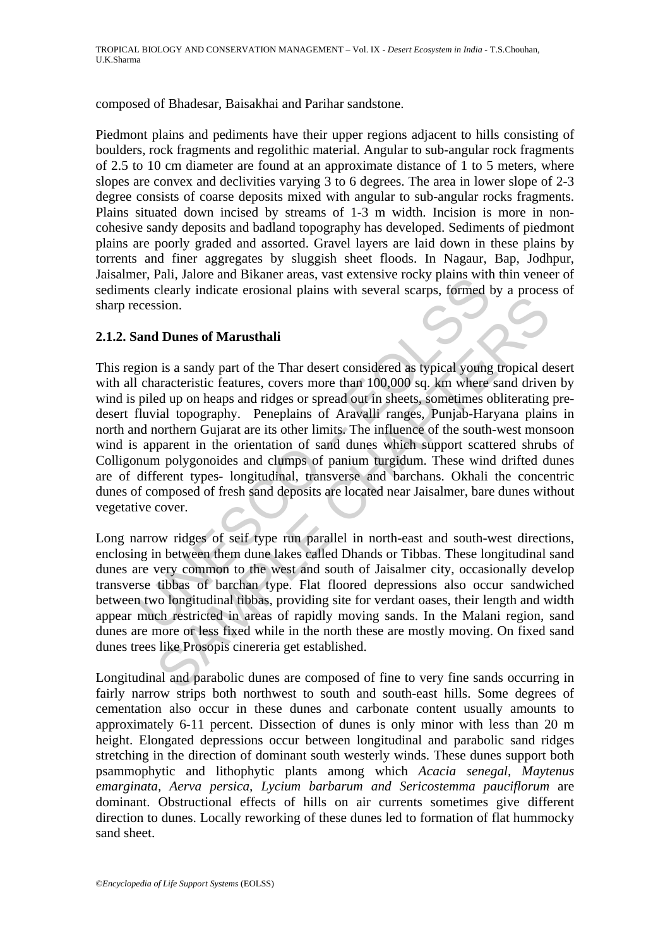composed of Bhadesar, Baisakhai and Parihar sandstone.

Piedmont plains and pediments have their upper regions adjacent to hills consisting of boulders, rock fragments and regolithic material. Angular to sub-angular rock fragments of 2.5 to 10 cm diameter are found at an approximate distance of 1 to 5 meters, where slopes are convex and declivities varying 3 to 6 degrees. The area in lower slope of 2-3 degree consists of coarse deposits mixed with angular to sub-angular rocks fragments. Plains situated down incised by streams of 1-3 m width. Incision is more in noncohesive sandy deposits and badland topography has developed. Sediments of piedmont plains are poorly graded and assorted. Gravel layers are laid down in these plains by torrents and finer aggregates by sluggish sheet floods. In Nagaur, Bap, Jodhpur, Jaisalmer, Pali, Jalore and Bikaner areas, vast extensive rocky plains with thin veneer of sediments clearly indicate erosional plains with several scarps, formed by a process of sharp recession.

### **2.1.2. Sand Dunes of Marusthali**

Entry and Dunes of Marusthali<br>this clearly indicate erosional plains with several scarps, formed the<br>sciently indicate erosional plains with several scarps, formed t<br>cession.<br>and Dunes of Marusthali<br>tigion is a sandy part Solition.<br> **Solution Example 2020** and the search of the Thar described as typical young tropical denotestivitic features, covers more than 100,000 sq. km where sand drives del up on heaps and ridges or spread out in she This region is a sandy part of the Thar desert considered as typical young tropical desert with all characteristic features, covers more than 100,000 sq. km where sand driven by wind is piled up on heaps and ridges or spread out in sheets, sometimes obliterating predesert fluvial topography. Peneplains of Aravalli ranges, Punjab-Haryana plains in north and northern Gujarat are its other limits. The influence of the south-west monsoon wind is apparent in the orientation of sand dunes which support scattered shrubs of Colligonum polygonoides and clumps of panium turgidum. These wind drifted dunes are of different types- longitudinal, transverse and barchans. Okhali the concentric dunes of composed of fresh sand deposits are located near Jaisalmer, bare dunes without vegetative cover.

Long narrow ridges of seif type run parallel in north-east and south-west directions, enclosing in between them dune lakes called Dhands or Tibbas. These longitudinal sand dunes are very common to the west and south of Jaisalmer city, occasionally develop transverse tibbas of barchan type. Flat floored depressions also occur sandwiched between two longitudinal tibbas, providing site for verdant oases, their length and width appear much restricted in areas of rapidly moving sands. In the Malani region, sand dunes are more or less fixed while in the north these are mostly moving. On fixed sand dunes trees like Prosopis cinereria get established.

Longitudinal and parabolic dunes are composed of fine to very fine sands occurring in fairly narrow strips both northwest to south and south-east hills. Some degrees of cementation also occur in these dunes and carbonate content usually amounts to approximately 6-11 percent. Dissection of dunes is only minor with less than 20 m height. Elongated depressions occur between longitudinal and parabolic sand ridges stretching in the direction of dominant south westerly winds. These dunes support both psammophytic and lithophytic plants among which *Acacia senegal, Maytenus emarginata, Aerva persica, Lycium barbarum and Sericostemma pauciflorum* are dominant. Obstructional effects of hills on air currents sometimes give different direction to dunes. Locally reworking of these dunes led to formation of flat hummocky sand sheet.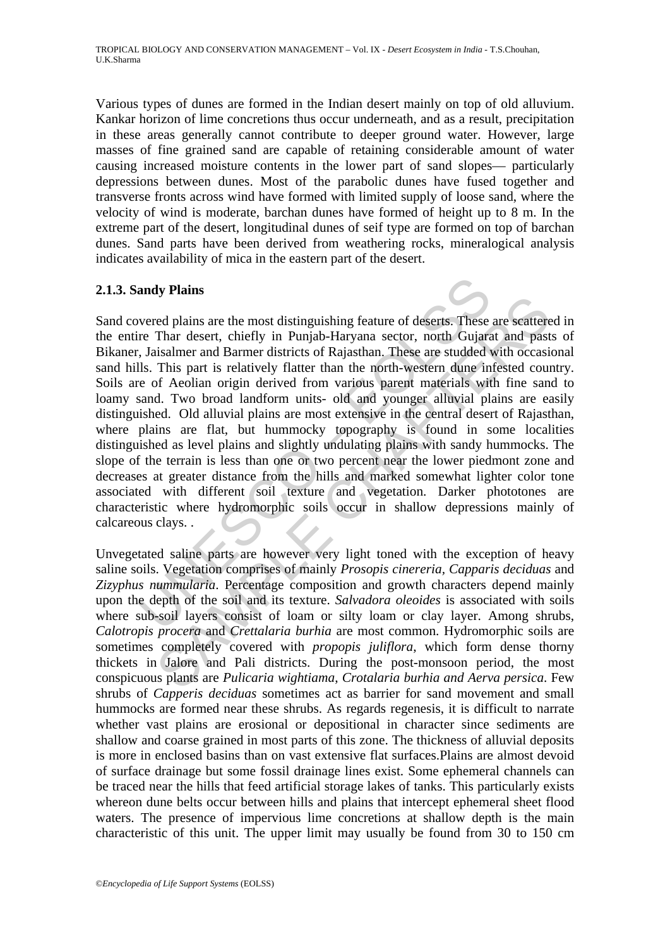Various types of dunes are formed in the Indian desert mainly on top of old alluvium. Kankar horizon of lime concretions thus occur underneath, and as a result, precipitation in these areas generally cannot contribute to deeper ground water. However, large masses of fine grained sand are capable of retaining considerable amount of water causing increased moisture contents in the lower part of sand slopes— particularly depressions between dunes. Most of the parabolic dunes have fused together and transverse fronts across wind have formed with limited supply of loose sand, where the velocity of wind is moderate, barchan dunes have formed of height up to 8 m. In the extreme part of the desert, longitudinal dunes of seif type are formed on top of barchan dunes. Sand parts have been derived from weathering rocks, mineralogical analysis indicates availability of mica in the eastern part of the desert.

### **2.1.3. Sandy Plains**

andy Plains<br>
andy Plains<br>
overed plains are the most distinguishing feature of deserts. These<br>
re Thar desert, chiefly in Punjab-Haryana sector, north Gujara<br>
1, Jaisalmer and Barmer districts of Rajasthan. These are studd Then describes are the most distinguishing feature of deserts. These are scatter plains are the most distinguishing feature of deserts. These are scatter Thar desert, chiefly in Punjab-Haryana sector, north Gujarat and pa Sand covered plains are the most distinguishing feature of deserts. These are scattered in the entire Thar desert, chiefly in Punjab-Haryana sector, north Gujarat and pasts of Bikaner, Jaisalmer and Barmer districts of Rajasthan. These are studded with occasional sand hills. This part is relatively flatter than the north-western dune infested country. Soils are of Aeolian origin derived from various parent materials with fine sand to loamy sand. Two broad landform units- old and younger alluvial plains are easily distinguished. Old alluvial plains are most extensive in the central desert of Rajasthan, where plains are flat, but hummocky topography is found in some localities distinguished as level plains and slightly undulating plains with sandy hummocks. The slope of the terrain is less than one or two percent near the lower piedmont zone and decreases at greater distance from the hills and marked somewhat lighter color tone associated with different soil texture and vegetation. Darker phototones are characteristic where hydromorphic soils occur in shallow depressions mainly of calcareous clays. .

Unvegetated saline parts are however very light toned with the exception of heavy saline soils. Vegetation comprises of mainly *Prosopis cinereria, Capparis deciduas* and *Zizyphus nummularia*. Percentage composition and growth characters depend mainly upon the depth of the soil and its texture. *Salvadora oleoides* is associated with soils where sub-soil layers consist of loam or silty loam or clay layer. Among shrubs, *Calotropis procera* and *Crettalaria burhia* are most common. Hydromorphic soils are sometimes completely covered with *propopis juliflora*, which form dense thorny thickets in Jalore and Pali districts. During the post-monsoon period, the most conspicuous plants are *Pulicaria wightiama*, *Crotalaria burhia and Aerva persica*. Few shrubs of *Capperis deciduas* sometimes act as barrier for sand movement and small hummocks are formed near these shrubs. As regards regenesis, it is difficult to narrate whether vast plains are erosional or depositional in character since sediments are shallow and coarse grained in most parts of this zone. The thickness of alluvial deposits is more in enclosed basins than on vast extensive flat surfaces.Plains are almost devoid of surface drainage but some fossil drainage lines exist. Some ephemeral channels can be traced near the hills that feed artificial storage lakes of tanks. This particularly exists whereon dune belts occur between hills and plains that intercept ephemeral sheet flood waters. The presence of impervious lime concretions at shallow depth is the main characteristic of this unit. The upper limit may usually be found from 30 to 150 cm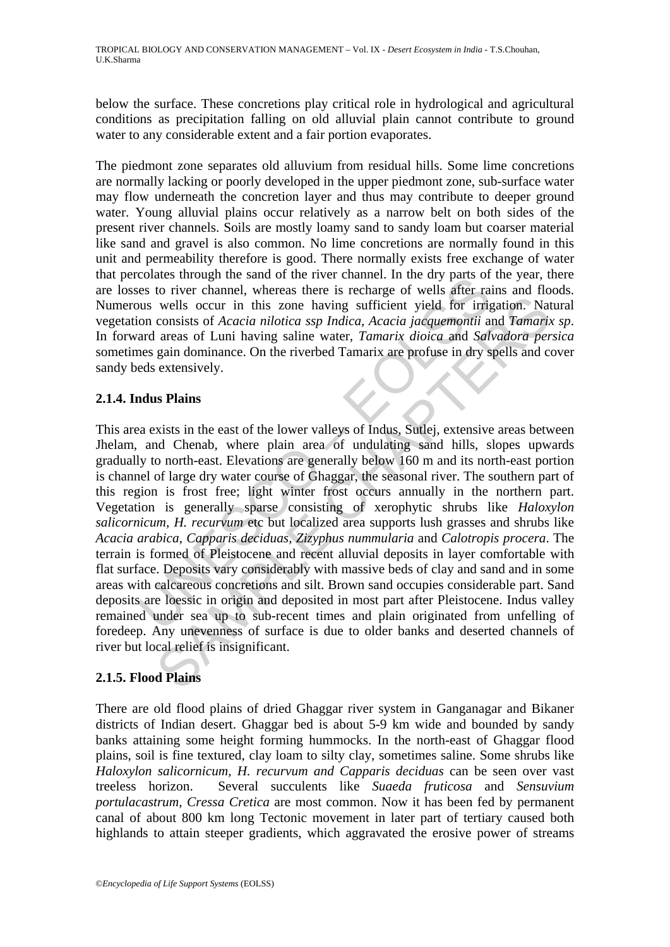below the surface. These concretions play critical role in hydrological and agricultural conditions as precipitation falling on old alluvial plain cannot contribute to ground water to any considerable extent and a fair portion evaporates.

The piedmont zone separates old alluvium from residual hills. Some lime concretions are normally lacking or poorly developed in the upper piedmont zone, sub-surface water may flow underneath the concretion layer and thus may contribute to deeper ground water. Young alluvial plains occur relatively as a narrow belt on both sides of the present river channels. Soils are mostly loamy sand to sandy loam but coarser material like sand and gravel is also common. No lime concretions are normally found in this unit and permeability therefore is good. There normally exists free exchange of water that percolates through the sand of the river channel. In the dry parts of the year, there are losses to river channel, whereas there is recharge of wells after rains and floods. Numerous wells occur in this zone having sufficient yield for irrigation. Natural vegetation consists of *Acacia nilotica ssp Indica, Acacia jacquemontii* and *Tamarix sp*. In forward areas of Luni having saline water, *Tamarix dioica* and *Salvadora persica* sometimes gain dominance. On the riverbed Tamarix are profuse in dry spells and cover sandy beds extensively.

### **2.1.4. Indus Plains**

Coatas unougli us said or the live trainmer. In the tay parts of<br>these to river channel, whereas there is recharge of wells after rans<br>wells occur in this zone having sufficient yield for irrig<br>on consists of *Acacia nilot* wells occur in this zone having sufficient yield for irrigation. Nat<br>consists of *Acacia nilotica ssp Indica*, *Acacia jacquemontii* and *Tamariz*<br>areas of Luni having saline water, *Tamarix dioica* and *Salvadora per*<br>are This area exists in the east of the lower valleys of Indus, Sutlej, extensive areas between Jhelam, and Chenab, where plain area of undulating sand hills, slopes upwards gradually to north-east. Elevations are generally below 160 m and its north-east portion is channel of large dry water course of Ghaggar, the seasonal river. The southern part of this region is frost free; light winter frost occurs annually in the northern part. Vegetation is generally sparse consisting of xerophytic shrubs like *Haloxylon salicornicum, H. recurvum* etc but localized area supports lush grasses and shrubs like *Acacia arabica*, *Capparis deciduas, Zizyphus nummularia* and *Calotropis procera*. The terrain is formed of Pleistocene and recent alluvial deposits in layer comfortable with flat surface. Deposits vary considerably with massive beds of clay and sand and in some areas with calcareous concretions and silt. Brown sand occupies considerable part. Sand deposits are loessic in origin and deposited in most part after Pleistocene. Indus valley remained under sea up to sub-recent times and plain originated from unfelling of foredeep. Any unevenness of surface is due to older banks and deserted channels of river but local relief is insignificant.

### **2.1.5. Flood Plains**

There are old flood plains of dried Ghaggar river system in Ganganagar and Bikaner districts of Indian desert. Ghaggar bed is about 5-9 km wide and bounded by sandy banks attaining some height forming hummocks. In the north-east of Ghaggar flood plains, soil is fine textured, clay loam to silty clay, sometimes saline. Some shrubs like *Haloxylon salicornicum, H. recurvum and Capparis deciduas* can be seen over vast treeless horizon. Several succulents like *Suaeda fruticosa* and *Sensuvium portulacastrum, Cressa Cretica* are most common. Now it has been fed by permanent canal of about 800 km long Tectonic movement in later part of tertiary caused both highlands to attain steeper gradients, which aggravated the erosive power of streams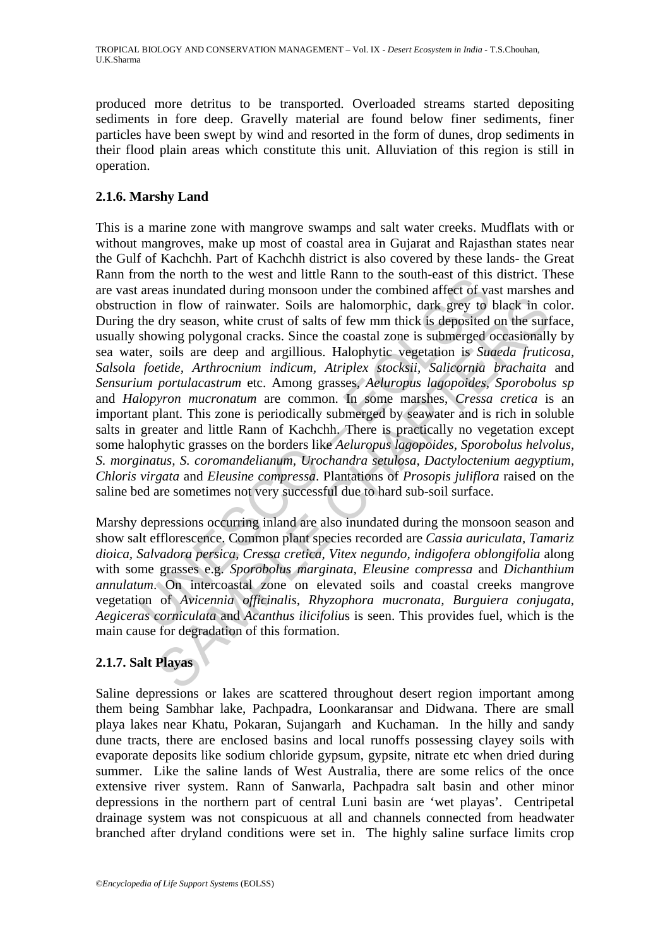produced more detritus to be transported. Overloaded streams started depositing sediments in fore deep. Gravelly material are found below finer sediments, finer particles have been swept by wind and resorted in the form of dunes, drop sediments in their flood plain areas which constitute this unit. Alluviation of this region is still in operation.

### **2.1.6. Marshy Land**

on the flour to the west and thue kann to the sour-east on thus<br>a areas inundated during monsoon under the combined affect of va<br>areas inundated during monsoon under the combined affect of va<br>the dry season, white crust of in flow of rainwater. Soils are halomorphic, dark grey to black in cdry season, white crust of salts of few mm thick is deposited on the surf way by season, white crust of salts of few mm thick is deposited on the surf soi This is a marine zone with mangrove swamps and salt water creeks. Mudflats with or without mangroves, make up most of coastal area in Gujarat and Rajasthan states near the Gulf of Kachchh. Part of Kachchh district is also covered by these lands- the Great Rann from the north to the west and little Rann to the south-east of this district. These are vast areas inundated during monsoon under the combined affect of vast marshes and obstruction in flow of rainwater. Soils are halomorphic, dark grey to black in color. During the dry season, white crust of salts of few mm thick is deposited on the surface, usually showing polygonal cracks. Since the coastal zone is submerged occasionally by sea water, soils are deep and argillious. Halophytic vegetation is *Suaeda fruticosa, Salsola foetide, Arthrocnium indicum, Atriplex stocksii, Salicornia brachaita* and *Sensurium portulacastrum* etc. Among grasses, *Aeluropus lagopoides, Sporobolus sp* and *Halopyron mucronatum* are common. In some marshes, *Cressa cretica* is an important plant. This zone is periodically submerged by seawater and is rich in soluble salts in greater and little Rann of Kachchh. There is practically no vegetation except some halophytic grasses on the borders like *Aeluropus lagopoides, Sporobolus helvolus, S. morginatus, S. coromandelianum, Urochandra setulosa, Dactyloctenium aegyptium, Chloris virgata* and *Eleusine compressa*. Plantations of *Prosopis juliflora* raised on the saline bed are sometimes not very successful due to hard sub-soil surface.

Marshy depressions occurring inland are also inundated during the monsoon season and show salt efflorescence. Common plant species recorded are *Cassia auriculata, Tamariz dioica, Salvadora persica, Cressa cretica, Vitex negundo, indigofera oblongifolia* along with some grasses e.g. *Sporobolus marginata, Eleusine compressa* and *Dichanthium annulatum*. On intercoastal zone on elevated soils and coastal creeks mangrove vegetation of *Avicennia officinalis, Rhyzophora mucronata, Burguiera conjugata, Aegiceras corniculata* and *Acanthus ilicifoliu*s is seen. This provides fuel, which is the main cause for degradation of this formation.

# **2.1.7. Salt Playas**

Saline depressions or lakes are scattered throughout desert region important among them being Sambhar lake, Pachpadra, Loonkaransar and Didwana. There are small playa lakes near Khatu, Pokaran, Sujangarh and Kuchaman. In the hilly and sandy dune tracts, there are enclosed basins and local runoffs possessing clayey soils with evaporate deposits like sodium chloride gypsum, gypsite, nitrate etc when dried during summer. Like the saline lands of West Australia, there are some relics of the once extensive river system. Rann of Sanwarla, Pachpadra salt basin and other minor depressions in the northern part of central Luni basin are 'wet playas'. Centripetal drainage system was not conspicuous at all and channels connected from headwater branched after dryland conditions were set in. The highly saline surface limits crop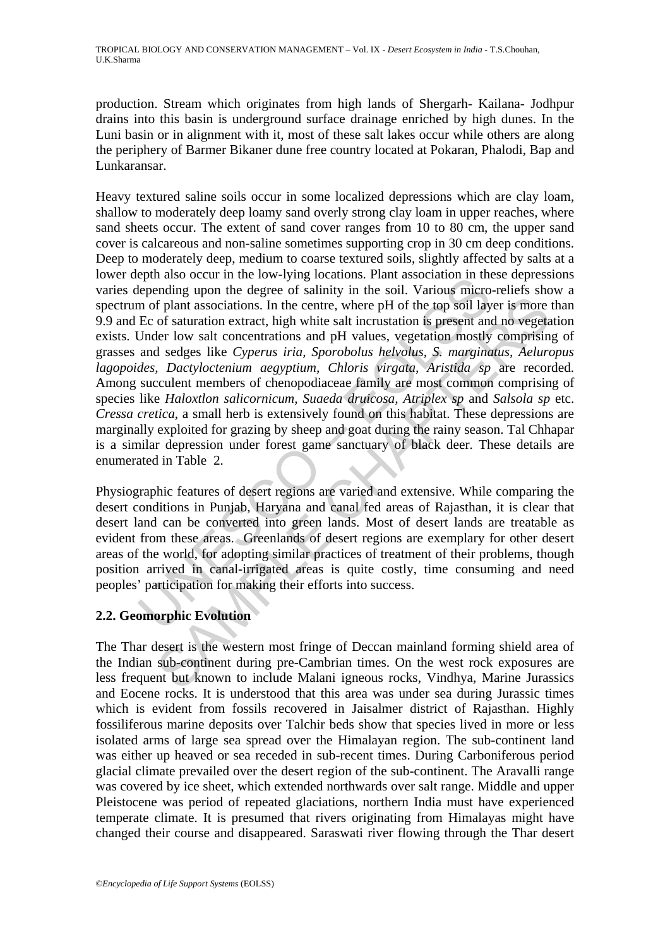production. Stream which originates from high lands of Shergarh- Kailana- Jodhpur drains into this basin is underground surface drainage enriched by high dunes. In the Luni basin or in alignment with it, most of these salt lakes occur while others are along the periphery of Barmer Bikaner dune free country located at Pokaran, Phalodi, Bap and Lunkaransar.

epending upon the tow-lying tocatoms. Frant associatom in the ending upon the degree of salinity in the soil. Various micro-<br>the pending upon the degree of salinity in the soil. Various micro-<br>m of plant associations. In t If plant associations. In the centre, where pH of the top soil layer is more of saturation extract, high white salt incrustation is present and no vegetate low salt concrutations and pH values, vegetation mostly comprising Heavy textured saline soils occur in some localized depressions which are clay loam, shallow to moderately deep loamy sand overly strong clay loam in upper reaches, where sand sheets occur. The extent of sand cover ranges from 10 to 80 cm, the upper sand cover is calcareous and non-saline sometimes supporting crop in 30 cm deep conditions. Deep to moderately deep, medium to coarse textured soils, slightly affected by salts at a lower depth also occur in the low-lying locations. Plant association in these depressions varies depending upon the degree of salinity in the soil. Various micro-reliefs show a spectrum of plant associations. In the centre, where pH of the top soil layer is more than 9.9 and Ec of saturation extract, high white salt incrustation is present and no vegetation exists. Under low salt concentrations and pH values, vegetation mostly comprising of grasses and sedges like *Cyperus iria, Sporobolus helvolus, S. marginatus, Aeluropus lagopoides, Dactyloctenium aegyptium, Chloris virgata, Aristida sp* are recorded. Among succulent members of chenopodiaceae family are most common comprising of species like *Haloxtlon salicornicum, Suaeda druicosa, Atriplex sp* and *Salsola sp* etc. *Cressa cretica*, a small herb is extensively found on this habitat. These depressions are marginally exploited for grazing by sheep and goat during the rainy season. Tal Chhapar is a similar depression under forest game sanctuary of black deer. These details are enumerated in Table 2.

Physiographic features of desert regions are varied and extensive. While comparing the desert conditions in Punjab, Haryana and canal fed areas of Rajasthan, it is clear that desert land can be converted into green lands. Most of desert lands are treatable as evident from these areas. Greenlands of desert regions are exemplary for other desert areas of the world, for adopting similar practices of treatment of their problems, though position arrived in canal-irrigated areas is quite costly, time consuming and need peoples' participation for making their efforts into success.

# **2.2. Geomorphic Evolution**

The Thar desert is the western most fringe of Deccan mainland forming shield area of the Indian sub-continent during pre-Cambrian times. On the west rock exposures are less frequent but known to include Malani igneous rocks, Vindhya, Marine Jurassics and Eocene rocks. It is understood that this area was under sea during Jurassic times which is evident from fossils recovered in Jaisalmer district of Rajasthan. Highly fossiliferous marine deposits over Talchir beds show that species lived in more or less isolated arms of large sea spread over the Himalayan region. The sub-continent land was either up heaved or sea receded in sub-recent times. During Carboniferous period glacial climate prevailed over the desert region of the sub-continent. The Aravalli range was covered by ice sheet, which extended northwards over salt range. Middle and upper Pleistocene was period of repeated glaciations, northern India must have experienced temperate climate. It is presumed that rivers originating from Himalayas might have changed their course and disappeared. Saraswati river flowing through the Thar desert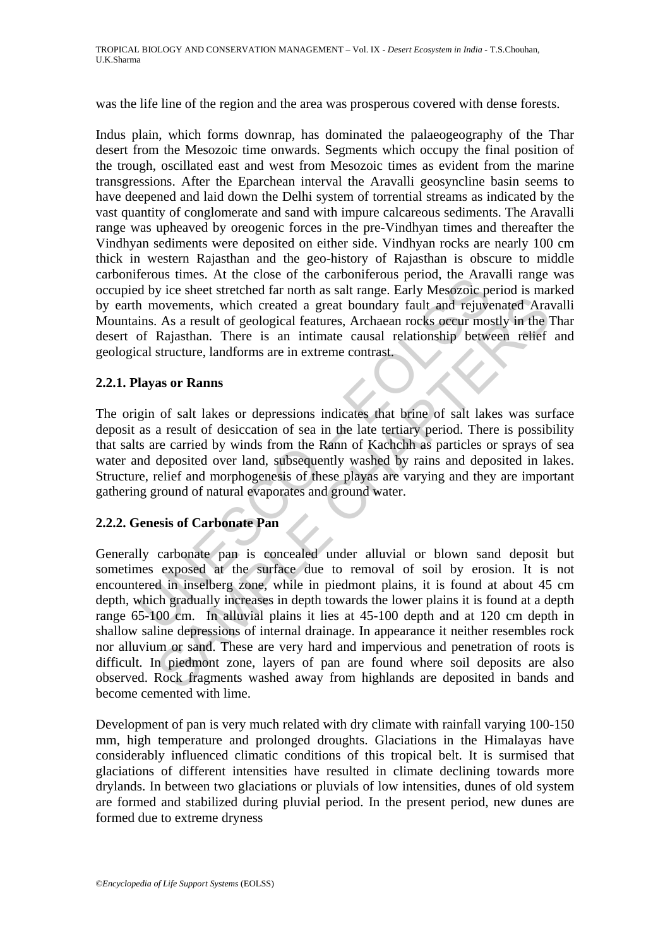was the life line of the region and the area was prosperous covered with dense forests.

Indus plain, which forms downrap, has dominated the palaeogeography of the Thar desert from the Mesozoic time onwards. Segments which occupy the final position of the trough, oscillated east and west from Mesozoic times as evident from the marine transgressions. After the Eparchean interval the Aravalli geosyncline basin seems to have deepened and laid down the Delhi system of torrential streams as indicated by the vast quantity of conglomerate and sand with impure calcareous sediments. The Aravalli range was upheaved by oreogenic forces in the pre-Vindhyan times and thereafter the Vindhyan sediments were deposited on either side. Vindhyan rocks are nearly 100 cm thick in western Rajasthan and the geo-history of Rajasthan is obscure to middle carboniferous times. At the close of the carboniferous period, the Aravalli range was occupied by ice sheet stretched far north as salt range. Early Mesozoic period is marked by earth movements, which created a great boundary fault and rejuvenated Aravalli Mountains. As a result of geological features, Archaean rocks occur mostly in the Thar desert of Rajasthan. There is an intimate causal relationship between relief and geological structure, landforms are in extreme contrast.

#### **2.2.1. Playas or Ranns**

Freurous times. At the close of the carolmetrous period, the Franchi<br>d by ice sheet stretched far north as salt range. Early Mesozoic part<br>in movements, which created a great boundary fault and rejuve<br>ins. As a result of g The origin of salt lakes or depressions indicates that brine of salt lakes was surface deposit as a result of desiccation of sea in the late tertiary period. There is possibility that salts are carried by winds from the Rann of Kachchh as particles or sprays of sea water and deposited over land, subsequently washed by rains and deposited in lakes. Structure, relief and morphogenesis of these playas are varying and they are important gathering ground of natural evaporates and ground water.

### **2.2.2. Genesis of Carbonate Pan**

From the state of the content and a great boundary fault and rejuvenated Ara As a result of geological features, Archaean rocks occur mostly in the Rajasthan. There is an intimate causal relationship between relief structu Generally carbonate pan is concealed under alluvial or blown sand deposit but sometimes exposed at the surface due to removal of soil by erosion. It is not encountered in inselberg zone, while in piedmont plains, it is found at about 45 cm depth, which gradually increases in depth towards the lower plains it is found at a depth range 65-100 cm. In alluvial plains it lies at 45-100 depth and at 120 cm depth in shallow saline depressions of internal drainage. In appearance it neither resembles rock nor alluvium or sand. These are very hard and impervious and penetration of roots is difficult. In piedmont zone, layers of pan are found where soil deposits are also observed. Rock fragments washed away from highlands are deposited in bands and become cemented with lime.

Development of pan is very much related with dry climate with rainfall varying 100-150 mm, high temperature and prolonged droughts. Glaciations in the Himalayas have considerably influenced climatic conditions of this tropical belt. It is surmised that glaciations of different intensities have resulted in climate declining towards more drylands. In between two glaciations or pluvials of low intensities, dunes of old system are formed and stabilized during pluvial period. In the present period, new dunes are formed due to extreme dryness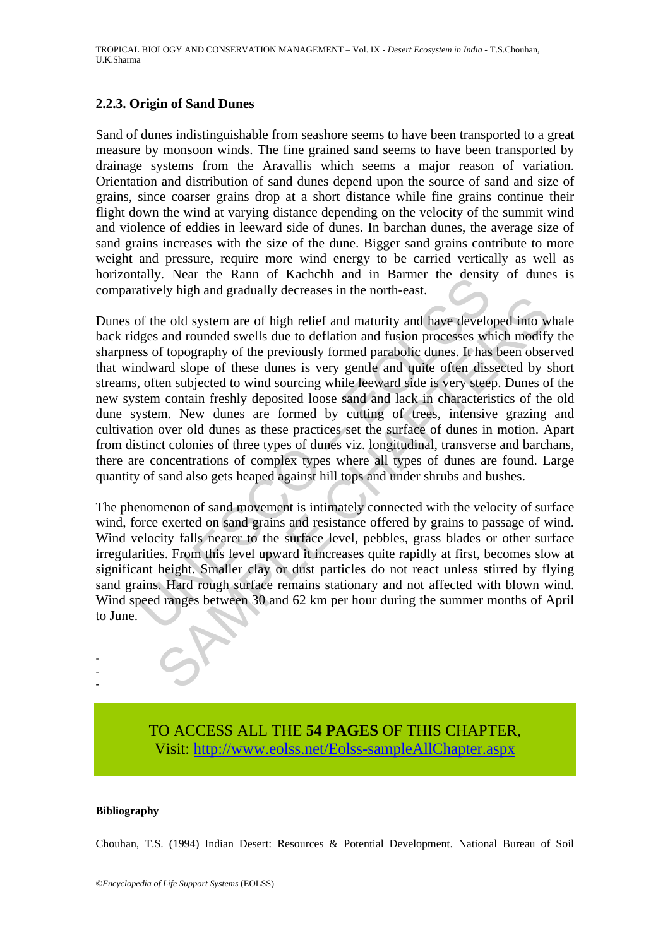#### **2.2.3. Origin of Sand Dunes**

Sand of dunes indistinguishable from seashore seems to have been transported to a great measure by monsoon winds. The fine grained sand seems to have been transported by drainage systems from the Aravallis which seems a major reason of variation. Orientation and distribution of sand dunes depend upon the source of sand and size of grains, since coarser grains drop at a short distance while fine grains continue their flight down the wind at varying distance depending on the velocity of the summit wind and violence of eddies in leeward side of dunes. In barchan dunes, the average size of sand grains increases with the size of the dune. Bigger sand grains contribute to more weight and pressure, require more wind energy to be carried vertically as well as horizontally. Near the Rann of Kachchh and in Barmer the density of dunes is comparatively high and gradually decreases in the north-east.

any. Isean the Kann of Kachtim and in Bannet the density this attively high and gradually decreases in the north-east.<br>
for the old system are of high relief and maturity and have develo<br>
gless and rounded swells due to de Expansive grading and the matrix and have developed into we and rounded swells and have developed into whe stand rounded swells due to deflation and fusion processes which modify of topography of the previously formed par Dunes of the old system are of high relief and maturity and have developed into whale back ridges and rounded swells due to deflation and fusion processes which modify the sharpness of topography of the previously formed parabolic dunes. It has been observed that windward slope of these dunes is very gentle and quite often dissected by short streams, often subjected to wind sourcing while leeward side is very steep. Dunes of the new system contain freshly deposited loose sand and lack in characteristics of the old dune system. New dunes are formed by cutting of trees, intensive grazing and cultivation over old dunes as these practices set the surface of dunes in motion. Apart from distinct colonies of three types of dunes viz. longitudinal, transverse and barchans, there are concentrations of complex types where all types of dunes are found. Large quantity of sand also gets heaped against hill tops and under shrubs and bushes.

The phenomenon of sand movement is intimately connected with the velocity of surface wind, force exerted on sand grains and resistance offered by grains to passage of wind. Wind velocity falls nearer to the surface level, pebbles, grass blades or other surface irregularities. From this level upward it increases quite rapidly at first, becomes slow at significant height. Smaller clay or dust particles do not react unless stirred by flying sand grains. Hard rough surface remains stationary and not affected with blown wind. Wind speed ranges between 30 and 62 km per hour during the summer months of April to June.

> TO ACCESS ALL THE **54 PAGES** OF THIS CHAPTER, Visit: [http://www.eolss.net/Eolss-sampleAllChapter.aspx](https://www.eolss.net/ebooklib/sc_cart.aspx?File=E6-142-DE-04)

#### **Bibliography**

- - -

Chouhan, T.S. (1994) Indian Desert: Resources & Potential Development. National Bureau of Soil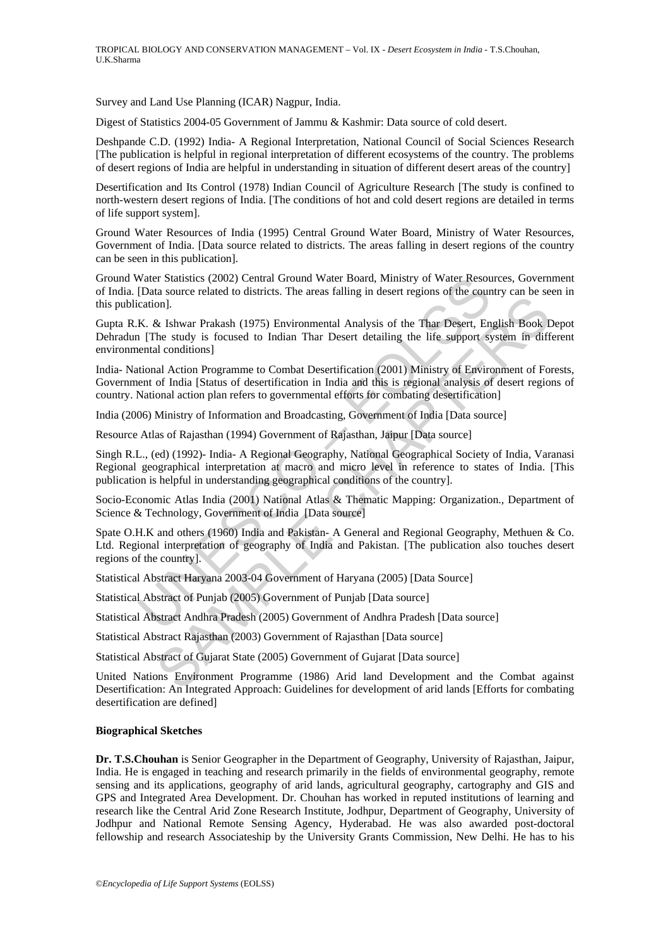Survey and Land Use Planning (ICAR) Nagpur, India.

Digest of Statistics 2004-05 Government of Jammu & Kashmir: Data source of cold desert.

Deshpande C.D. (1992) India- A Regional Interpretation, National Council of Social Sciences Research [The publication is helpful in regional interpretation of different ecosystems of the country. The problems of desert regions of India are helpful in understanding in situation of different desert areas of the country]

Desertification and Its Control (1978) Indian Council of Agriculture Research [The study is confined to north-western desert regions of India. [The conditions of hot and cold desert regions are detailed in terms of life support system].

Ground Water Resources of India (1995) Central Ground Water Board, Ministry of Water Resources, Government of India. [Data source related to districts. The areas falling in desert regions of the country can be seen in this publication].

Ground Water Statistics (2002) Central Ground Water Board, Ministry of Water Resources, Government of India. [Data source related to districts. The areas falling in desert regions of the country can be seen in this publication].

Water Statistics (2002) Central Ground Water Board, Ministry of Water Resou<br>
[Data source related to districts. The areas falling in desert regions of the councation].<br>
K. & Ishwar Prakash (1975) Environmental Analysis of is one.<br>
Se Ishwar Prakash (1975) Environmental Analysis of the Thar Desert, English Book Ishwar Prakash (1975) Environmental Analysis of the Thar Desert, English Book Ish focused to Indian Thar Desert detailing the life s Gupta R.K. & Ishwar Prakash (1975) Environmental Analysis of the Thar Desert, English Book Depot Dehradun [The study is focused to Indian Thar Desert detailing the life support system in different environmental conditions]

India- National Action Programme to Combat Desertification (2001) Ministry of Environment of Forests, Government of India [Status of desertification in India and this is regional analysis of desert regions of country. National action plan refers to governmental efforts for combating desertification]

India (2006) Ministry of Information and Broadcasting, Government of India [Data source]

Resource Atlas of Rajasthan (1994) Government of Rajasthan, Jaipur [Data source]

Singh R.L., (ed) (1992)- India- A Regional Geography, National Geographical Society of India, Varanasi Regional geographical interpretation at macro and micro level in reference to states of India. [This publication is helpful in understanding geographical conditions of the country].

Socio-Economic Atlas India (2001) National Atlas & Thematic Mapping: Organization., Department of Science & Technology, Government of India [Data source]

Spate O.H.K and others (1960) India and Pakistan- A General and Regional Geography, Methuen & Co. Ltd. Regional interpretation of geography of India and Pakistan. [The publication also touches desert regions of the country].

Statistical Abstract Haryana 2003-04 Government of Haryana (2005) [Data Source]

Statistical Abstract of Punjab (2005) Government of Punjab [Data source]

Statistical Abstract Andhra Pradesh (2005) Government of Andhra Pradesh [Data source]

Statistical Abstract Rajasthan (2003) Government of Rajasthan [Data source]

Statistical Abstract of Gujarat State (2005) Government of Gujarat [Data source]

United Nations Environment Programme (1986) Arid land Development and the Combat against Desertification: An Integrated Approach: Guidelines for development of arid lands [Efforts for combating desertification are defined]

#### **Biographical Sketches**

**Dr. T.S.Chouhan** is Senior Geographer in the Department of Geography, University of Rajasthan, Jaipur, India. He is engaged in teaching and research primarily in the fields of environmental geography, remote sensing and its applications, geography of arid lands, agricultural geography, cartography and GIS and GPS and Integrated Area Development. Dr. Chouhan has worked in reputed institutions of learning and research like the Central Arid Zone Research Institute, Jodhpur, Department of Geography, University of Jodhpur and National Remote Sensing Agency, Hyderabad. He was also awarded post-doctoral fellowship and research Associateship by the University Grants Commission, New Delhi. He has to his